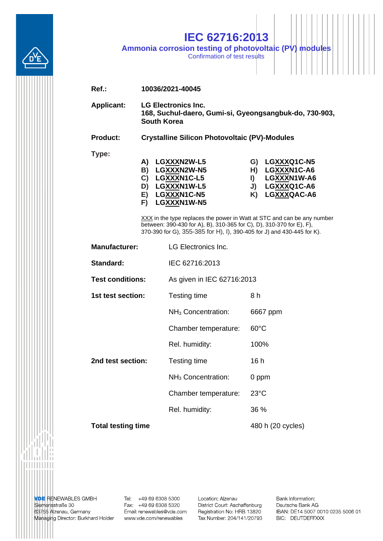

## IEC 62716:2013 Ammonia corrosion testing of photovoltaic (PV) modules

| $Ref.$ :                  | 10036/2021-40045                                                                                                                                                                                                          |                                                                                        |                                        |                                                                         |  |  |  |
|---------------------------|---------------------------------------------------------------------------------------------------------------------------------------------------------------------------------------------------------------------------|----------------------------------------------------------------------------------------|----------------------------------------|-------------------------------------------------------------------------|--|--|--|
| <b>Applicant:</b>         | <b>LG Electronics Inc.</b><br>168, Suchul-daero, Gumi-si, Gyeongsangbuk-do, 730-903,<br><b>South Korea</b>                                                                                                                |                                                                                        |                                        |                                                                         |  |  |  |
| <b>Product:</b>           | <b>Crystalline Silicon Photovoltaic (PV)-Modules</b>                                                                                                                                                                      |                                                                                        |                                        |                                                                         |  |  |  |
| Type:                     | A)<br>B)<br>C)<br>D)<br>E)<br>F)                                                                                                                                                                                          | LGXXXN2W-L5<br>LGXXXN2W-N5<br>LGXXXN1C-L5<br>LGXXXN1W-L5<br>LGXXXN1C-N5<br>LGXXXN1W-N5 | G)<br>H)<br>$\blacksquare$<br>J)<br>K) | LGXXXQ1C-N5<br>LGXXXN1C-A6<br>LGXXXN1W-A6<br>LGXXXQ1C-A6<br>LGXXXQAC-A6 |  |  |  |
|                           | XXX in the type replaces the power in Watt at STC and can be any number<br>between: 390-430 for A), B), 310-365 for C), D), 310-370 for E), F),<br>370-390 for G), 355-385 for H), I), 390-405 for J) and 430-445 for K). |                                                                                        |                                        |                                                                         |  |  |  |
| <b>Manufacturer:</b>      |                                                                                                                                                                                                                           | <b>LG Electronics Inc.</b>                                                             |                                        |                                                                         |  |  |  |
| Standard:                 |                                                                                                                                                                                                                           | IEC 62716:2013                                                                         |                                        |                                                                         |  |  |  |
| <b>Test conditions:</b>   |                                                                                                                                                                                                                           | As given in IEC 62716:2013                                                             |                                        |                                                                         |  |  |  |
| 1st test section:         |                                                                                                                                                                                                                           | Testing time                                                                           | 8 h                                    |                                                                         |  |  |  |
|                           |                                                                                                                                                                                                                           | NH <sub>3</sub> Concentration:                                                         |                                        | 6667 ppm                                                                |  |  |  |
|                           |                                                                                                                                                                                                                           | Chamber temperature:                                                                   | $60^{\circ}$ C                         |                                                                         |  |  |  |
|                           |                                                                                                                                                                                                                           | Rel. humidity:                                                                         | 100%                                   |                                                                         |  |  |  |
| 2nd test section:         |                                                                                                                                                                                                                           | Testing time                                                                           | 16h                                    |                                                                         |  |  |  |
|                           |                                                                                                                                                                                                                           | NH <sub>3</sub> Concentration:                                                         | 0 ppm                                  |                                                                         |  |  |  |
|                           |                                                                                                                                                                                                                           | Chamber temperature:                                                                   | $23^{\circ}$ C                         |                                                                         |  |  |  |
|                           |                                                                                                                                                                                                                           | Rel. humidity:                                                                         | 36 %                                   |                                                                         |  |  |  |
| <b>Total testing time</b> |                                                                                                                                                                                                                           |                                                                                        |                                        | 480 h (20 cycles)                                                       |  |  |  |

**VDE RENEWABLES GMBH**<br>Siemensstraße 30 63755 Alzenau, Germany Managing Director: Burkhard Holder

. . . . . . . . .

Tel: +49 69 6308 5300<br>Fax: +49 69 6308 5320 Email: renewables@vde.com www.vde.com/renewables

Location: Alzenau District Court: Aschaffenburg Registration No: HRB 13820 Tax Number: 204/141/20793 Bank Information: Deutsche Bank AG IBAN: DE14 5007 0010 0235 5006 01 BIC: DEUTDEFFXXX